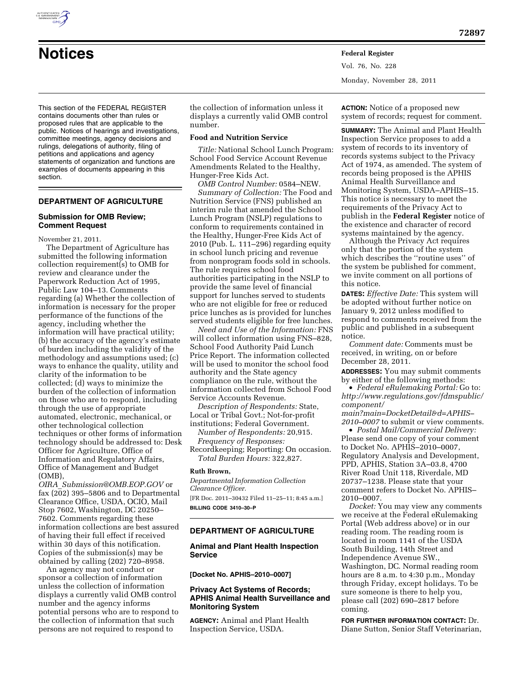

Vol. 76, No. 228 Monday, November 28, 2011

This section of the FEDERAL REGISTER contains documents other than rules or proposed rules that are applicable to the public. Notices of hearings and investigations, committee meetings, agency decisions and rulings, delegations of authority, filing of petitions and applications and agency statements of organization and functions are examples of documents appearing in this section.

# **DEPARTMENT OF AGRICULTURE**

## **Submission for OMB Review; Comment Request**

November 21, 2011.

The Department of Agriculture has submitted the following information collection requirement(s) to OMB for review and clearance under the Paperwork Reduction Act of 1995, Public Law 104–13. Comments regarding (a) Whether the collection of information is necessary for the proper performance of the functions of the agency, including whether the information will have practical utility; (b) the accuracy of the agency's estimate of burden including the validity of the methodology and assumptions used; (c) ways to enhance the quality, utility and clarity of the information to be collected; (d) ways to minimize the burden of the collection of information on those who are to respond, including through the use of appropriate automated, electronic, mechanical, or other technological collection techniques or other forms of information technology should be addressed to: Desk Officer for Agriculture, Office of Information and Regulatory Affairs, Office of Management and Budget (OMB),

*OIRA*\_*[Submission@OMB.EOP.GOV](mailto:OIRA_Submission@OMB.EOP.GOV)* or fax (202) 395–5806 and to Departmental Clearance Office, USDA, OCIO, Mail Stop 7602, Washington, DC 20250– 7602. Comments regarding these information collections are best assured of having their full effect if received within 30 days of this notification. Copies of the submission(s) may be obtained by calling (202) 720–8958.

An agency may not conduct or sponsor a collection of information unless the collection of information displays a currently valid OMB control number and the agency informs potential persons who are to respond to the collection of information that such persons are not required to respond to

the collection of information unless it displays a currently valid OMB control number.

#### **Food and Nutrition Service**

*Title:* National School Lunch Program: School Food Service Account Revenue Amendments Related to the Healthy, Hunger-Free Kids Act.

*OMB Control Number:* 0584–NEW. *Summary of Collection:* The Food and Nutrition Service (FNS) published an interim rule that amended the School Lunch Program (NSLP) regulations to conform to requirements contained in the Healthy, Hunger-Free Kids Act of 2010 (Pub. L. 111–296) regarding equity in school lunch pricing and revenue from nonprogram foods sold in schools. The rule requires school food authorities participating in the NSLP to provide the same level of financial support for lunches served to students who are not eligible for free or reduced price lunches as is provided for lunches served students eligible for free lunches.

*Need and Use of the Information:* FNS will collect information using FNS–828, School Food Authority Paid Lunch Price Report. The information collected will be used to monitor the school food authority and the State agency compliance on the rule, without the information collected from School Food Service Accounts Revenue.

*Description of Respondents:* State, Local or Tribal Govt.; Not-for-profit institutions; Federal Government.

*Number of Respondents:* 20,915. *Frequency of Responses:* 

Recordkeeping; Reporting: On occasion. *Total Burden Hours:* 322,827.

## **Ruth Brown,**

*Departmental Information Collection Clearance Officer.*  [FR Doc. 2011–30432 Filed 11–25–11; 8:45 a.m.]

**BILLING CODE 3410–30–P** 

# **DEPARTMENT OF AGRICULTURE**

# **Animal and Plant Health Inspection Service**

**[Docket No. APHIS–2010–0007]** 

# **Privacy Act Systems of Records; APHIS Animal Health Surveillance and Monitoring System**

**AGENCY:** Animal and Plant Health Inspection Service, USDA.

**ACTION:** Notice of a proposed new system of records; request for comment.

**SUMMARY:** The Animal and Plant Health Inspection Service proposes to add a system of records to its inventory of records systems subject to the Privacy Act of 1974, as amended. The system of records being proposed is the APHIS Animal Health Surveillance and Monitoring System, USDA–APHIS–15. This notice is necessary to meet the requirements of the Privacy Act to publish in the **Federal Register** notice of the existence and character of record systems maintained by the agency.

Although the Privacy Act requires only that the portion of the system which describes the ''routine uses'' of the system be published for comment, we invite comment on all portions of this notice.

**DATES:** *Effective Date:* This system will be adopted without further notice on January 9, 2012 unless modified to respond to comments received from the public and published in a subsequent notice.

*Comment date:* Comments must be received, in writing, on or before December 28, 2011.

**ADDRESSES:** You may submit comments by either of the following methods:

• *Federal eRulemaking Portal:* Go to: *[http://www.regulations.gov/fdmspublic/](http://www.regulations.gov/fdmspublic/component/main?main=DocketDetail&d=APHIS-2010-0007) [component/](http://www.regulations.gov/fdmspublic/component/main?main=DocketDetail&d=APHIS-2010-0007)* 

*[main?main=DocketDetail&d=APHIS–](http://www.regulations.gov/fdmspublic/component/main?main=DocketDetail&d=APHIS-2010-0007) [2010–0007](http://www.regulations.gov/fdmspublic/component/main?main=DocketDetail&d=APHIS-2010-0007)* to submit or view comments.

• *Postal Mail/Commercial Delivery:*  Please send one copy of your comment to Docket No. APHIS–2010–0007, Regulatory Analysis and Development, PPD, APHIS, Station 3A–03.8, 4700 River Road Unit 118, Riverdale, MD 20737–1238. Please state that your comment refers to Docket No. APHIS– 2010–0007.

*Docket:* You may view any comments we receive at the Federal eRulemaking Portal (Web address above) or in our reading room. The reading room is located in room 1141 of the USDA South Building, 14th Street and Independence Avenue SW., Washington, DC. Normal reading room hours are 8 a.m. to 4:30 p.m., Monday through Friday, except holidays. To be sure someone is there to help you, please call (202) 690–2817 before coming.

**FOR FURTHER INFORMATION CONTACT:** Dr. Diane Sutton, Senior Staff Veterinarian,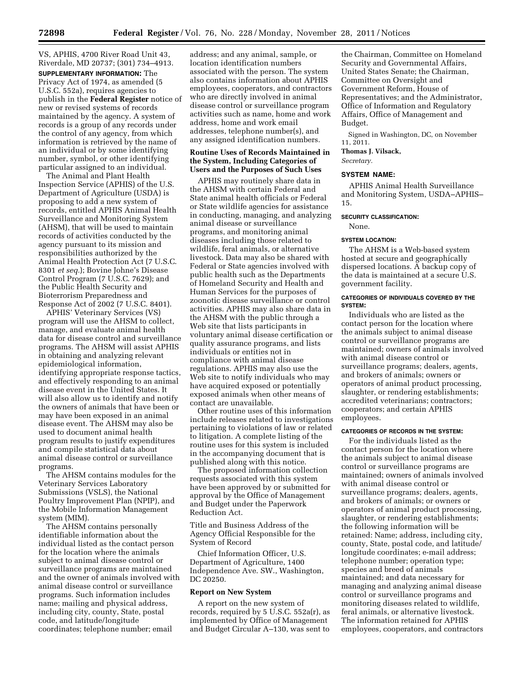VS, APHIS, 4700 River Road Unit 43, Riverdale, MD 20737; (301) 734–4913. **SUPPLEMENTARY INFORMATION:** The Privacy Act of 1974, as amended (5 U.S.C. 552a), requires agencies to publish in the **Federal Register** notice of new or revised systems of records maintained by the agency. A system of records is a group of any records under the control of any agency, from which information is retrieved by the name of an individual or by some identifying number, symbol, or other identifying particular assigned to an individual.

The Animal and Plant Health Inspection Service (APHIS) of the U.S. Department of Agriculture (USDA) is proposing to add a new system of records, entitled APHIS Animal Health Surveillance and Monitoring System (AHSM), that will be used to maintain records of activities conducted by the agency pursuant to its mission and responsibilities authorized by the Animal Health Protection Act (7 U.S.C. 8301 *et seq.*); Bovine Johne's Disease Control Program (7 U.S.C. 7629); and the Public Health Security and Bioterrorism Preparedness and Response Act of 2002 (7 U.S.C. 8401).

APHIS' Veterinary Services (VS) program will use the AHSM to collect, manage, and evaluate animal health data for disease control and surveillance programs. The AHSM will assist APHIS in obtaining and analyzing relevant epidemiological information, identifying appropriate response tactics, and effectively responding to an animal disease event in the United States. It will also allow us to identify and notify the owners of animals that have been or may have been exposed in an animal disease event. The AHSM may also be used to document animal health program results to justify expenditures and compile statistical data about animal disease control or surveillance programs.

The AHSM contains modules for the Veterinary Services Laboratory Submissions (VSLS), the National Poultry Improvement Plan (NPIP), and the Mobile Information Management system (MIM).

The AHSM contains personally identifiable information about the individual listed as the contact person for the location where the animals subject to animal disease control or surveillance programs are maintained and the owner of animals involved with animal disease control or surveillance programs. Such information includes name; mailing and physical address, including city, county, State, postal code, and latitude/longitude coordinates; telephone number; email

address; and any animal, sample, or location identification numbers associated with the person. The system also contains information about APHIS employees, cooperators, and contractors who are directly involved in animal disease control or surveillance program activities such as name, home and work address, home and work email addresses, telephone number(s), and any assigned identification numbers.

### **Routine Uses of Records Maintained in the System, Including Categories of Users and the Purposes of Such Uses**

APHIS may routinely share data in the AHSM with certain Federal and State animal health officials or Federal or State wildlife agencies for assistance in conducting, managing, and analyzing animal disease or surveillance programs, and monitoring animal diseases including those related to wildlife, feral animals, or alternative livestock. Data may also be shared with Federal or State agencies involved with public health such as the Departments of Homeland Security and Health and Human Services for the purposes of zoonotic disease surveillance or control activities. APHIS may also share data in the AHSM with the public through a Web site that lists participants in voluntary animal disease certification or quality assurance programs, and lists individuals or entities not in compliance with animal disease regulations. APHIS may also use the Web site to notify individuals who may have acquired exposed or potentially exposed animals when other means of contact are unavailable.

Other routine uses of this information include releases related to investigations pertaining to violations of law or related to litigation. A complete listing of the routine uses for this system is included in the accompanying document that is published along with this notice.

The proposed information collection requests associated with this system have been approved by or submitted for approval by the Office of Management and Budget under the Paperwork Reduction Act.

Title and Business Address of the Agency Official Responsible for the System of Record

Chief Information Officer, U.S. Department of Agriculture, 1400 Independence Ave. SW., Washington, DC 20250.

#### **Report on New System**

A report on the new system of records, required by 5 U.S.C. 552a(r), as implemented by Office of Management and Budget Circular A–130, was sent to

the Chairman, Committee on Homeland Security and Governmental Affairs, United States Senate; the Chairman, Committee on Oversight and Government Reform, House of Representatives; and the Administrator, Office of Information and Regulatory Affairs, Office of Management and Budget.

Signed in Washington, DC, on November 11, 2011.

**Thomas J. Vilsack,** 

*Secretary.* 

# **SYSTEM NAME:**

APHIS Animal Health Surveillance and Monitoring System, USDA–APHIS– 15.

# **SECURITY CLASSIFICATION:**

None.

#### **SYSTEM LOCATION:**

The AHSM is a Web-based system hosted at secure and geographically dispersed locations. A backup copy of the data is maintained at a secure U.S. government facility.

#### **CATEGORIES OF INDIVIDUALS COVERED BY THE SYSTEM:**

Individuals who are listed as the contact person for the location where the animals subject to animal disease control or surveillance programs are maintained; owners of animals involved with animal disease control or surveillance programs; dealers, agents, and brokers of animals; owners or operators of animal product processing, slaughter, or rendering establishments; accredited veterinarians; contractors; cooperators; and certain APHIS employees.

# **CATEGORIES OF RECORDS IN THE SYSTEM:**

For the individuals listed as the contact person for the location where the animals subject to animal disease control or surveillance programs are maintained; owners of animals involved with animal disease control or surveillance programs; dealers, agents, and brokers of animals; or owners or operators of animal product processing, slaughter, or rendering establishments; the following information will be retained: Name; address, including city, county, State, postal code, and latitude/ longitude coordinates; e-mail address; telephone number; operation type; species and breed of animals maintained; and data necessary for managing and analyzing animal disease control or surveillance programs and monitoring diseases related to wildlife, feral animals, or alternative livestock. The information retained for APHIS employees, cooperators, and contractors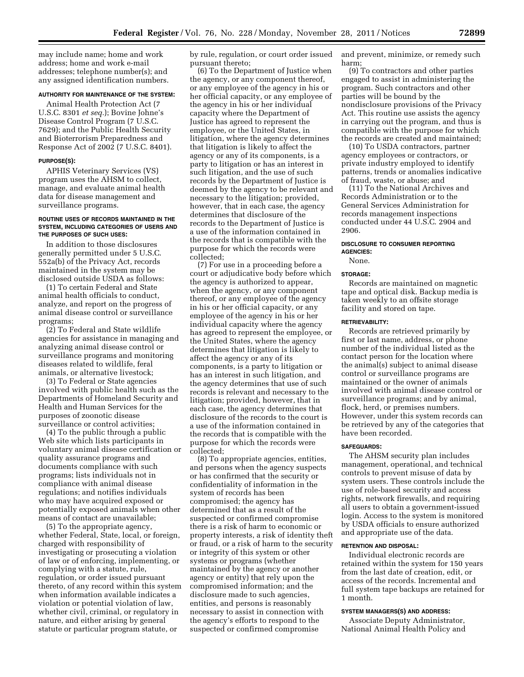may include name; home and work address; home and work e-mail addresses; telephone number(s); and any assigned identification numbers.

#### **AUTHORITY FOR MAINTENANCE OF THE SYSTEM:**

Animal Health Protection Act (7 U.S.C. 8301 *et seq.*); Bovine Johne's Disease Control Program (7 U.S.C. 7629); and the Public Health Security and Bioterrorism Preparedness and Response Act of 2002 (7 U.S.C. 8401).

#### **PURPOSE(S):**

APHIS Veterinary Services (VS) program uses the AHSM to collect, manage, and evaluate animal health data for disease management and surveillance programs.

#### **ROUTINE USES OF RECORDS MAINTAINED IN THE SYSTEM, INCLUDING CATEGORIES OF USERS AND THE PURPOSES OF SUCH USES:**

In addition to those disclosures generally permitted under 5 U.S.C. 552a(b) of the Privacy Act, records maintained in the system may be disclosed outside USDA as follows:

(1) To certain Federal and State animal health officials to conduct, analyze, and report on the progress of animal disease control or surveillance programs;

(2) To Federal and State wildlife agencies for assistance in managing and analyzing animal disease control or surveillance programs and monitoring diseases related to wildlife, feral animals, or alternative livestock;

(3) To Federal or State agencies involved with public health such as the Departments of Homeland Security and Health and Human Services for the purposes of zoonotic disease surveillance or control activities;

(4) To the public through a public Web site which lists participants in voluntary animal disease certification or quality assurance programs and documents compliance with such programs; lists individuals not in compliance with animal disease regulations; and notifies individuals who may have acquired exposed or potentially exposed animals when other means of contact are unavailable;

(5) To the appropriate agency, whether Federal, State, local, or foreign, charged with responsibility of investigating or prosecuting a violation of law or of enforcing, implementing, or complying with a statute, rule, regulation, or order issued pursuant thereto, of any record within this system when information available indicates a violation or potential violation of law, whether civil, criminal, or regulatory in nature, and either arising by general statute or particular program statute, or

by rule, regulation, or court order issued pursuant thereto;

(6) To the Department of Justice when the agency, or any component thereof, or any employee of the agency in his or her official capacity, or any employee of the agency in his or her individual capacity where the Department of Justice has agreed to represent the employee, or the United States, in litigation, where the agency determines that litigation is likely to affect the agency or any of its components, is a party to litigation or has an interest in such litigation, and the use of such records by the Department of Justice is deemed by the agency to be relevant and necessary to the litigation; provided, however, that in each case, the agency determines that disclosure of the records to the Department of Justice is a use of the information contained in the records that is compatible with the purpose for which the records were collected;

(7) For use in a proceeding before a court or adjudicative body before which the agency is authorized to appear, when the agency, or any component thereof, or any employee of the agency in his or her official capacity, or any employee of the agency in his or her individual capacity where the agency has agreed to represent the employee, or the United States, where the agency determines that litigation is likely to affect the agency or any of its components, is a party to litigation or has an interest in such litigation, and the agency determines that use of such records is relevant and necessary to the litigation; provided, however, that in each case, the agency determines that disclosure of the records to the court is a use of the information contained in the records that is compatible with the purpose for which the records were collected;

(8) To appropriate agencies, entities, and persons when the agency suspects or has confirmed that the security or confidentiality of information in the system of records has been compromised; the agency has determined that as a result of the suspected or confirmed compromise there is a risk of harm to economic or property interests, a risk of identity theft or fraud, or a risk of harm to the security or integrity of this system or other systems or programs (whether maintained by the agency or another agency or entity) that rely upon the compromised information; and the disclosure made to such agencies, entities, and persons is reasonably necessary to assist in connection with the agency's efforts to respond to the suspected or confirmed compromise

and prevent, minimize, or remedy such harm;

(9) To contractors and other parties engaged to assist in administering the program. Such contractors and other parties will be bound by the nondisclosure provisions of the Privacy Act. This routine use assists the agency in carrying out the program, and thus is compatible with the purpose for which the records are created and maintained;

(10) To USDA contractors, partner agency employees or contractors, or private industry employed to identify patterns, trends or anomalies indicative of fraud, waste, or abuse; and

(11) To the National Archives and Records Administration or to the General Services Administration for records management inspections conducted under 44 U.S.C. 2904 and 2906.

#### **DISCLOSURE TO CONSUMER REPORTING AGENCIES:**

None.

#### **STORAGE:**

Records are maintained on magnetic tape and optical disk. Backup media is taken weekly to an offsite storage facility and stored on tape.

#### **RETRIEVABILITY:**

Records are retrieved primarily by first or last name, address, or phone number of the individual listed as the contact person for the location where the animal(s) subject to animal disease control or surveillance programs are maintained or the owner of animals involved with animal disease control or surveillance programs; and by animal, flock, herd, or premises numbers. However, under this system records can be retrieved by any of the categories that have been recorded.

#### **SAFEGUARDS:**

The AHSM security plan includes management, operational, and technical controls to prevent misuse of data by system users. These controls include the use of role-based security and access rights, network firewalls, and requiring all users to obtain a government-issued login. Access to the system is monitored by USDA officials to ensure authorized and appropriate use of the data.

## **RETENTION AND DISPOSAL:**

Individual electronic records are retained within the system for 150 years from the last date of creation, edit, or access of the records. Incremental and full system tape backups are retained for 1 month.

#### **SYSTEM MANAGERS(S) AND ADDRESS:**

Associate Deputy Administrator, National Animal Health Policy and